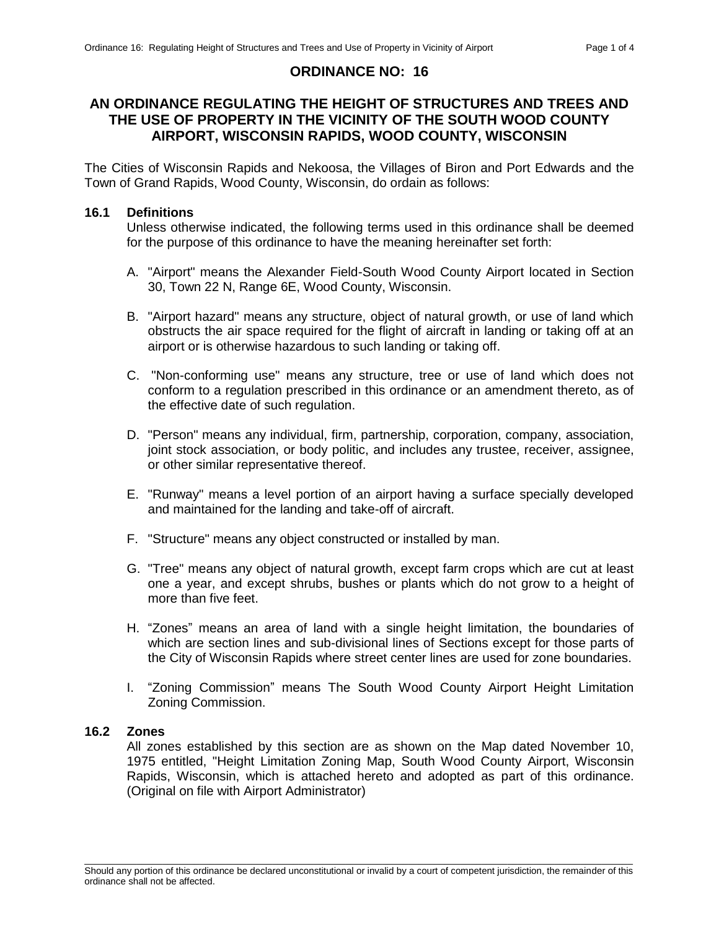## **ORDINANCE NO: 16**

# **AN ORDINANCE REGULATING THE HEIGHT OF STRUCTURES AND TREES AND THE USE OF PROPERTY IN THE VICINITY OF THE SOUTH WOOD COUNTY AIRPORT, WISCONSIN RAPIDS, WOOD COUNTY, WISCONSIN**

The Cities of Wisconsin Rapids and Nekoosa, the Villages of Biron and Port Edwards and the Town of Grand Rapids, Wood County, Wisconsin, do ordain as follows:

### **16.1 Definitions**

Unless otherwise indicated, the following terms used in this ordinance shall be deemed for the purpose of this ordinance to have the meaning hereinafter set forth:

- A. "Airport" means the Alexander Field-South Wood County Airport located in Section 30, Town 22 N, Range 6E, Wood County, Wisconsin.
- B. "Airport hazard" means any structure, object of natural growth, or use of land which obstructs the air space required for the flight of aircraft in landing or taking off at an airport or is otherwise hazardous to such landing or taking off.
- C. "Non-conforming use" means any structure, tree or use of land which does not conform to a regulation prescribed in this ordinance or an amendment thereto, as of the effective date of such regulation.
- D. "Person" means any individual, firm, partnership, corporation, company, association, joint stock association, or body politic, and includes any trustee, receiver, assignee, or other similar representative thereof.
- E. "Runway" means a level portion of an airport having a surface specially developed and maintained for the landing and take-off of aircraft.
- F. "Structure" means any object constructed or installed by man.
- G. "Tree" means any object of natural growth, except farm crops which are cut at least one a year, and except shrubs, bushes or plants which do not grow to a height of more than five feet.
- H. "Zones" means an area of land with a single height limitation, the boundaries of which are section lines and sub-divisional lines of Sections except for those parts of the City of Wisconsin Rapids where street center lines are used for zone boundaries.
- I. "Zoning Commission" means The South Wood County Airport Height Limitation Zoning Commission.

#### **16.2 Zones**

All zones established by this section are as shown on the Map dated November 10, 1975 entitled, "Height Limitation Zoning Map, South Wood County Airport, Wisconsin Rapids, Wisconsin, which is attached hereto and adopted as part of this ordinance. (Original on file with Airport Administrator)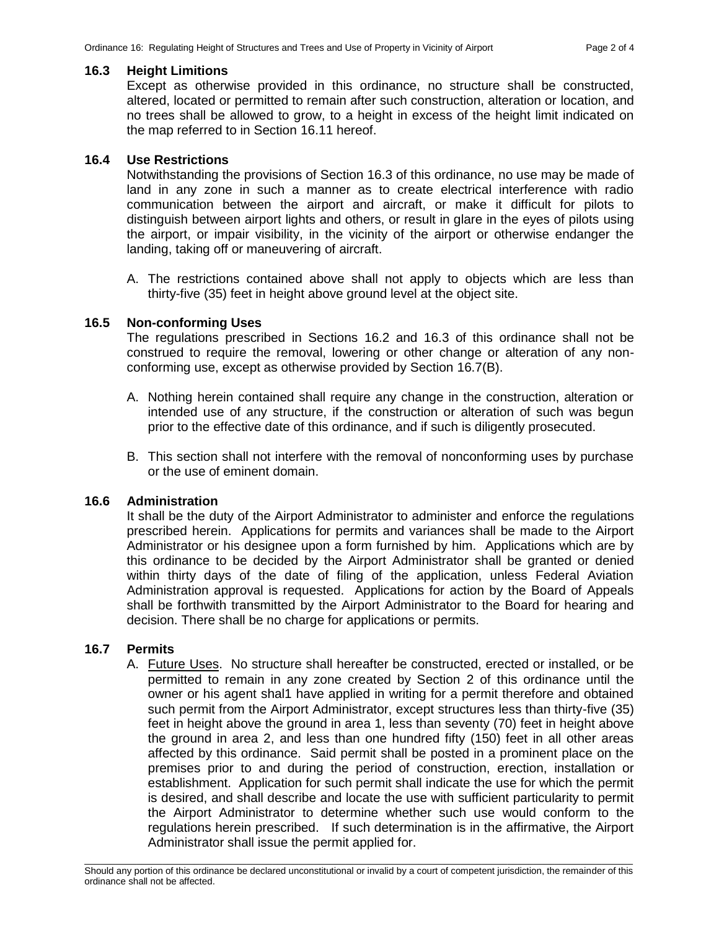### **16.3 Height Limitions**

Except as otherwise provided in this ordinance, no structure shall be constructed, altered, located or permitted to remain after such construction, alteration or location, and no trees shall be allowed to grow, to a height in excess of the height limit indicated on the map referred to in Section 16.11 hereof.

## **16.4 Use Restrictions**

Notwithstanding the provisions of Section 16.3 of this ordinance, no use may be made of land in any zone in such a manner as to create electrical interference with radio communication between the airport and aircraft, or make it difficult for pilots to distinguish between airport lights and others, or result in glare in the eyes of pilots using the airport, or impair visibility, in the vicinity of the airport or otherwise endanger the landing, taking off or maneuvering of aircraft.

A. The restrictions contained above shall not apply to objects which are less than thirty-five (35) feet in height above ground level at the object site.

### **16.5 Non-conforming Uses**

The regulations prescribed in Sections 16.2 and 16.3 of this ordinance shall not be construed to require the removal, lowering or other change or alteration of any nonconforming use, except as otherwise provided by Section 16.7(B).

- A. Nothing herein contained shall require any change in the construction, alteration or intended use of any structure, if the construction or alteration of such was begun prior to the effective date of this ordinance, and if such is diligently prosecuted.
- B. This section shall not interfere with the removal of nonconforming uses by purchase or the use of eminent domain.

### **16.6 Administration**

It shall be the duty of the Airport Administrator to administer and enforce the regulations prescribed herein. Applications for permits and variances shall be made to the Airport Administrator or his designee upon a form furnished by him. Applications which are by this ordinance to be decided by the Airport Administrator shall be granted or denied within thirty days of the date of filing of the application, unless Federal Aviation Administration approval is requested. Applications for action by the Board of Appeals shall be forthwith transmitted by the Airport Administrator to the Board for hearing and decision. There shall be no charge for applications or permits.

## **16.7 Permits**

A. Future Uses. No structure shall hereafter be constructed, erected or installed, or be permitted to remain in any zone created by Section 2 of this ordinance until the owner or his agent shal1 have applied in writing for a permit therefore and obtained such permit from the Airport Administrator, except structures less than thirty-five (35) feet in height above the ground in area 1, less than seventy (70) feet in height above the ground in area 2, and less than one hundred fifty (150) feet in all other areas affected by this ordinance. Said permit shall be posted in a prominent place on the premises prior to and during the period of construction, erection, installation or establishment. Application for such permit shall indicate the use for which the permit is desired, and shall describe and locate the use with sufficient particularity to permit the Airport Administrator to determine whether such use would conform to the regulations herein prescribed. If such determination is in the affirmative, the Airport Administrator shall issue the permit applied for.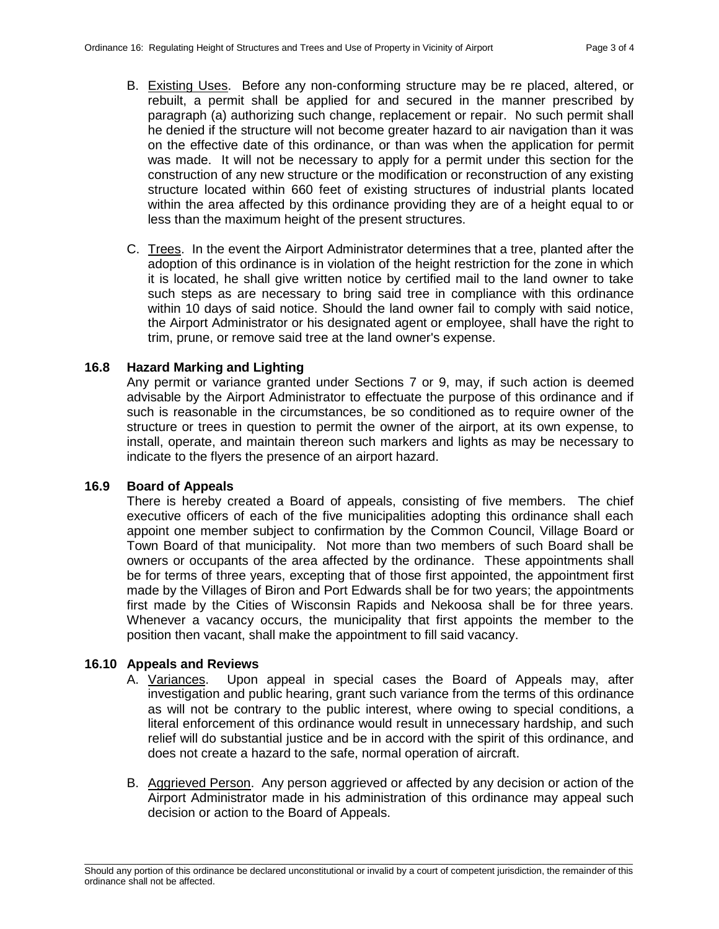- B. Existing Uses. Before any non-conforming structure may be re placed, altered, or rebuilt, a permit shall be applied for and secured in the manner prescribed by paragraph (a) authorizing such change, replacement or repair. No such permit shall he denied if the structure will not become greater hazard to air navigation than it was on the effective date of this ordinance, or than was when the application for permit was made. It will not be necessary to apply for a permit under this section for the construction of any new structure or the modification or reconstruction of any existing structure located within 660 feet of existing structures of industrial plants located within the area affected by this ordinance providing they are of a height equal to or less than the maximum height of the present structures.
- C. Trees. In the event the Airport Administrator determines that a tree, planted after the adoption of this ordinance is in violation of the height restriction for the zone in which it is located, he shall give written notice by certified mail to the land owner to take such steps as are necessary to bring said tree in compliance with this ordinance within 10 days of said notice. Should the land owner fail to comply with said notice, the Airport Administrator or his designated agent or employee, shall have the right to trim, prune, or remove said tree at the land owner's expense.

### **16.8 Hazard Marking and Lighting**

Any permit or variance granted under Sections 7 or 9, may, if such action is deemed advisable by the Airport Administrator to effectuate the purpose of this ordinance and if such is reasonable in the circumstances, be so conditioned as to require owner of the structure or trees in question to permit the owner of the airport, at its own expense, to install, operate, and maintain thereon such markers and lights as may be necessary to indicate to the flyers the presence of an airport hazard.

### **16.9 Board of Appeals**

There is hereby created a Board of appeals, consisting of five members. The chief executive officers of each of the five municipalities adopting this ordinance shall each appoint one member subject to confirmation by the Common Council, Village Board or Town Board of that municipality. Not more than two members of such Board shall be owners or occupants of the area affected by the ordinance. These appointments shall be for terms of three years, excepting that of those first appointed, the appointment first made by the Villages of Biron and Port Edwards shall be for two years; the appointments first made by the Cities of Wisconsin Rapids and Nekoosa shall be for three years. Whenever a vacancy occurs, the municipality that first appoints the member to the position then vacant, shall make the appointment to fill said vacancy.

### **16.10 Appeals and Reviews**

- A. Variances. Upon appeal in special cases the Board of Appeals may, after investigation and public hearing, grant such variance from the terms of this ordinance as will not be contrary to the public interest, where owing to special conditions, a literal enforcement of this ordinance would result in unnecessary hardship, and such relief will do substantial justice and be in accord with the spirit of this ordinance, and does not create a hazard to the safe, normal operation of aircraft.
- B. Aggrieved Person. Any person aggrieved or affected by any decision or action of the Airport Administrator made in his administration of this ordinance may appeal such decision or action to the Board of Appeals.